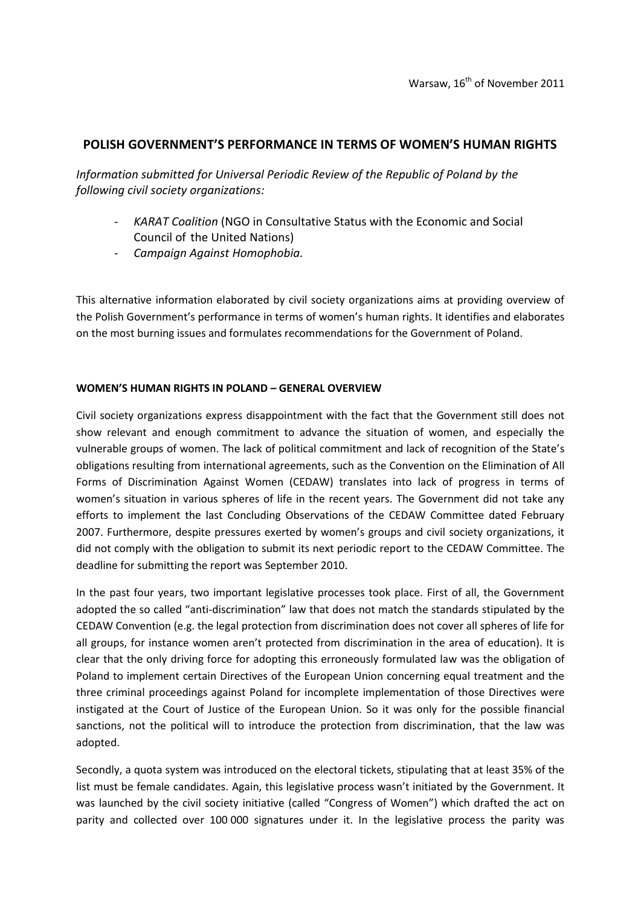# **POLISH GOVERNMENT'S PERFORMANCE IN TERMS OF WOMEN'S HUMAN RIGHTS**

*Information submitted for Universal Periodic Review of the Republic of Poland by the following civil society organizations:* 

- *KARAT Coalition* (NGO in Consultative Status with the Economic and Social Council of the United Nations)
- *Campaign Against Homophobia.*

This alternative information elaborated by civil society organizations aims at providing overview of the Polish Government's performance in terms of women's human rights. It identifies and elaborates on the most burning issues and formulates recommendations for the Government of Poland.

#### **WOMEN'S HUMAN RIGHTS IN POLAND – GENERAL OVERVIEW**

Civil society organizations express disappointment with the fact that the Government still does not show relevant and enough commitment to advance the situation of women, and especially the vulnerable groups of women. The lack of political commitment and lack of recognition of the State's obligations resulting from international agreements, such as the Convention on the Elimination of All Forms of Discrimination Against Women (CEDAW) translates into lack of progress in terms of women's situation in various spheres of life in the recent years. The Government did not take any efforts to implement the last Concluding Observations of the CEDAW Committee dated February 2007. Furthermore, despite pressures exerted by women's groups and civil society organizations, it did not comply with the obligation to submit its next periodic report to the CEDAW Committee. The deadline for submitting the report was September 2010.

In the past four years, two important legislative processes took place. First of all, the Government adopted the so called "anti-discrimination" law that does not match the standards stipulated by the CEDAW Convention (e.g. the legal protection from discrimination does not cover all spheres of life for all groups, for instance women aren't protected from discrimination in the area of education). It is clear that the only driving force for adopting this erroneously formulated law was the obligation of Poland to implement certain Directives of the European Union concerning equal treatment and the three criminal proceedings against Poland for incomplete implementation of those Directives were instigated at the Court of Justice of the European Union. So it was only for the possible financial sanctions, not the political will to introduce the protection from discrimination, that the law was adopted.

Secondly, a quota system was introduced on the electoral tickets, stipulating that at least 35% of the list must be female candidates. Again, this legislative process wasn't initiated by the Government. It was launched by the civil society initiative (called "Congress of Women") which drafted the act on parity and collected over 100 000 signatures under it. In the legislative process the parity was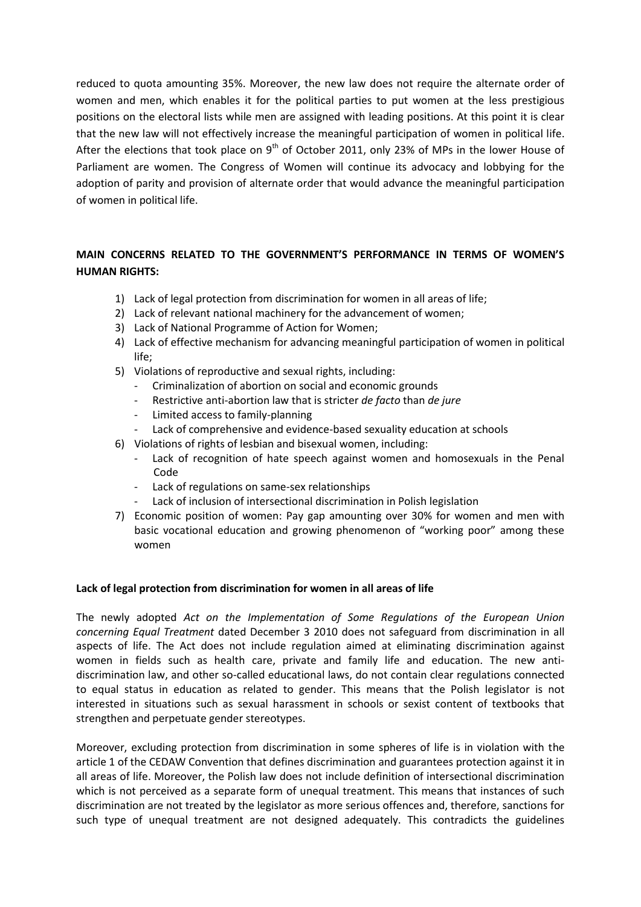reduced to quota amounting 35%. Moreover, the new law does not require the alternate order of women and men, which enables it for the political parties to put women at the less prestigious positions on the electoral lists while men are assigned with leading positions. At this point it is clear that the new law will not effectively increase the meaningful participation of women in political life. After the elections that took place on  $9<sup>th</sup>$  of October 2011, only 23% of MPs in the lower House of Parliament are women. The Congress of Women will continue its advocacy and lobbying for the adoption of parity and provision of alternate order that would advance the meaningful participation of women in political life.

# **MAIN CONCERNS RELATED TO THE GOVERNMENT'S PERFORMANCE IN TERMS OF WOMEN'S HUMAN RIGHTS:**

- 1) Lack of legal protection from discrimination for women in all areas of life;
- 2) Lack of relevant national machinery for the advancement of women;
- 3) Lack of National Programme of Action for Women;
- 4) Lack of effective mechanism for advancing meaningful participation of women in political life;
- 5) Violations of reproductive and sexual rights, including:
	- Criminalization of abortion on social and economic grounds
	- Restrictive anti-abortion law that is stricter *de facto* than *de jure*
	- Limited access to family-planning
	- Lack of comprehensive and evidence-based sexuality education at schools
- 6) Violations of rights of lesbian and bisexual women, including:
	- Lack of recognition of hate speech against women and homosexuals in the Penal Code
	- Lack of regulations on same-sex relationships
	- Lack of inclusion of intersectional discrimination in Polish legislation
- 7) Economic position of women: Pay gap amounting over 30% for women and men with basic vocational education and growing phenomenon of "working poor" among these women

#### **Lack of legal protection from discrimination for women in all areas of life**

The newly adopted *Act on the Implementation of Some Regulations of the European Union concerning Equal Treatment* dated December 3 2010 does not safeguard from discrimination in all aspects of life. The Act does not include regulation aimed at eliminating discrimination against women in fields such as health care, private and family life and education. The new antidiscrimination law, and other so-called educational laws, do not contain clear regulations connected to equal status in education as related to gender. This means that the Polish legislator is not interested in situations such as sexual harassment in schools or sexist content of textbooks that strengthen and perpetuate gender stereotypes.

Moreover, excluding protection from discrimination in some spheres of life is in violation with the article 1 of the CEDAW Convention that defines discrimination and guarantees protection against it in all areas of life. Moreover, the Polish law does not include definition of intersectional discrimination which is not perceived as a separate form of unequal treatment. This means that instances of such discrimination are not treated by the legislator as more serious offences and, therefore, sanctions for such type of unequal treatment are not designed adequately. This contradicts the guidelines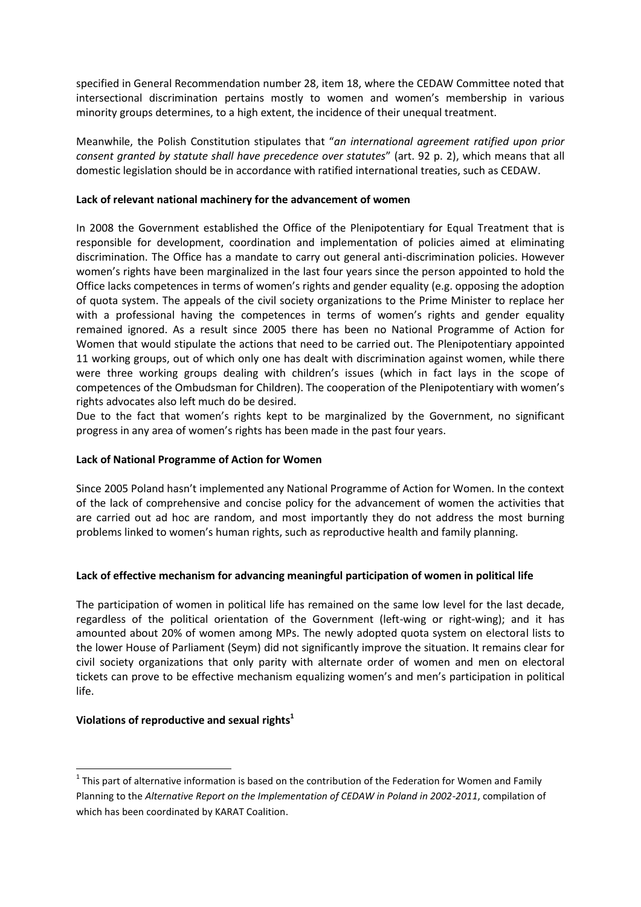specified in General Recommendation number 28, item 18, where the CEDAW Committee noted that intersectional discrimination pertains mostly to women and women's membership in various minority groups determines, to a high extent, the incidence of their unequal treatment.

Meanwhile, the Polish Constitution stipulates that "*an international agreement ratified upon prior consent granted by statute shall have precedence over statutes*" (art. 92 p. 2), which means that all domestic legislation should be in accordance with ratified international treaties, such as CEDAW.

### **Lack of relevant national machinery for the advancement of women**

In 2008 the Government established the Office of the Plenipotentiary for Equal Treatment that is responsible for development, coordination and implementation of policies aimed at eliminating discrimination. The Office has a mandate to carry out general anti-discrimination policies. However women's rights have been marginalized in the last four years since the person appointed to hold the Office lacks competences in terms of women's rights and gender equality (e.g. opposing the adoption of quota system. The appeals of the civil society organizations to the Prime Minister to replace her with a professional having the competences in terms of women's rights and gender equality remained ignored. As a result since 2005 there has been no National Programme of Action for Women that would stipulate the actions that need to be carried out. The Plenipotentiary appointed 11 working groups, out of which only one has dealt with discrimination against women, while there were three working groups dealing with children's issues (which in fact lays in the scope of competences of the Ombudsman for Children). The cooperation of the Plenipotentiary with women's rights advocates also left much do be desired.

Due to the fact that women's rights kept to be marginalized by the Government, no significant progress in any area of women's rights has been made in the past four years.

### **Lack of National Programme of Action for Women**

Since 2005 Poland hasn't implemented any National Programme of Action for Women. In the context of the lack of comprehensive and concise policy for the advancement of women the activities that are carried out ad hoc are random, and most importantly they do not address the most burning problems linked to women's human rights, such as reproductive health and family planning.

# **Lack of effective mechanism for advancing meaningful participation of women in political life**

The participation of women in political life has remained on the same low level for the last decade, regardless of the political orientation of the Government (left-wing or right-wing); and it has amounted about 20% of women among MPs. The newly adopted quota system on electoral lists to the lower House of Parliament (Seym) did not significantly improve the situation. It remains clear for civil society organizations that only parity with alternate order of women and men on electoral tickets can prove to be effective mechanism equalizing women's and men's participation in political life.

# **Violations of reproductive and sexual rights<sup>1</sup>**

1

 $1$  This part of alternative information is based on the contribution of the Federation for Women and Family Planning to the *Alternative Report on the Implementation of CEDAW in Poland in 2002-2011*, compilation of which has been coordinated by KARAT Coalition.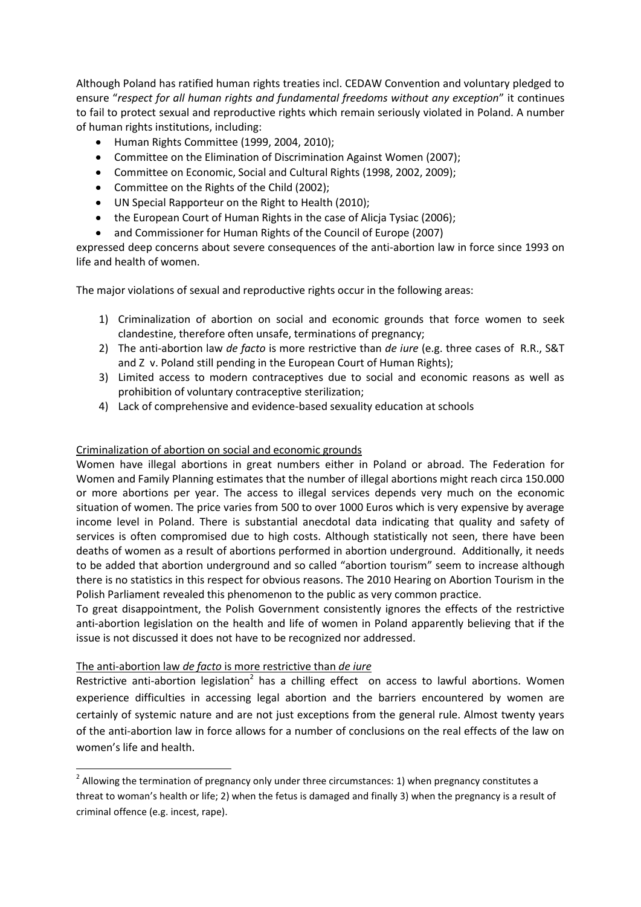Although Poland has ratified human rights treaties incl. CEDAW Convention and voluntary pledged to ensure "*respect for all human rights and fundamental freedoms without any exception*" it continues to fail to protect sexual and reproductive rights which remain seriously violated in Poland. A number of human rights institutions, including:

- Human Rights Committee (1999, 2004, 2010);
- Committee on the Elimination of Discrimination Against Women (2007);
- Committee on Economic, Social and Cultural Rights (1998, 2002, 2009);
- Committee on the Rights of the Child (2002);
- UN Special Rapporteur on the Right to Health (2010);
- the European Court of Human Rights in the case of Alicja Tysiac (2006);
- and Commissioner for Human Rights of the Council of Europe (2007)

expressed deep concerns about severe consequences of the anti-abortion law in force since 1993 on life and health of women.

The major violations of sexual and reproductive rights occur in the following areas:

- 1) Criminalization of abortion on social and economic grounds that force women to seek clandestine, therefore often unsafe, terminations of pregnancy;
- 2) The anti-abortion law *de facto* is more restrictive than *de iure* (e.g. three cases of R.R., S&T and Z v. Poland still pending in the European Court of Human Rights);
- 3) Limited access to modern contraceptives due to social and economic reasons as well as prohibition of voluntary contraceptive sterilization;
- 4) Lack of comprehensive and evidence-based sexuality education at schools

# Criminalization of abortion on social and economic grounds

Women have illegal abortions in great numbers either in Poland or abroad. The Federation for Women and Family Planning estimates that the number of illegal abortions might reach circa 150.000 or more abortions per year. The access to illegal services depends very much on the economic situation of women. The price varies from 500 to over 1000 Euros which is very expensive by average income level in Poland. There is substantial anecdotal data indicating that quality and safety of services is often compromised due to high costs. Although statistically not seen, there have been deaths of women as a result of abortions performed in abortion underground. Additionally, it needs to be added that abortion underground and so called "abortion tourism" seem to increase although there is no statistics in this respect for obvious reasons. The 2010 Hearing on Abortion Tourism in the Polish Parliament revealed this phenomenon to the public as very common practice.

To great disappointment, the Polish Government consistently ignores the effects of the restrictive anti-abortion legislation on the health and life of women in Poland apparently believing that if the issue is not discussed it does not have to be recognized nor addressed.

#### The anti-abortion law *de facto* is more restrictive than *de iure*

1

Restrictive anti-abortion legislation<sup>2</sup> has a chilling effect on access to lawful abortions. Women experience difficulties in accessing legal abortion and the barriers encountered by women are certainly of systemic nature and are not just exceptions from the general rule. Almost twenty years of the anti-abortion law in force allows for a number of conclusions on the real effects of the law on women's life and health.

 $2$  Allowing the termination of pregnancy only under three circumstances: 1) when pregnancy constitutes a threat to woman's health or life; 2) when the fetus is damaged and finally 3) when the pregnancy is a result of criminal offence (e.g. incest, rape).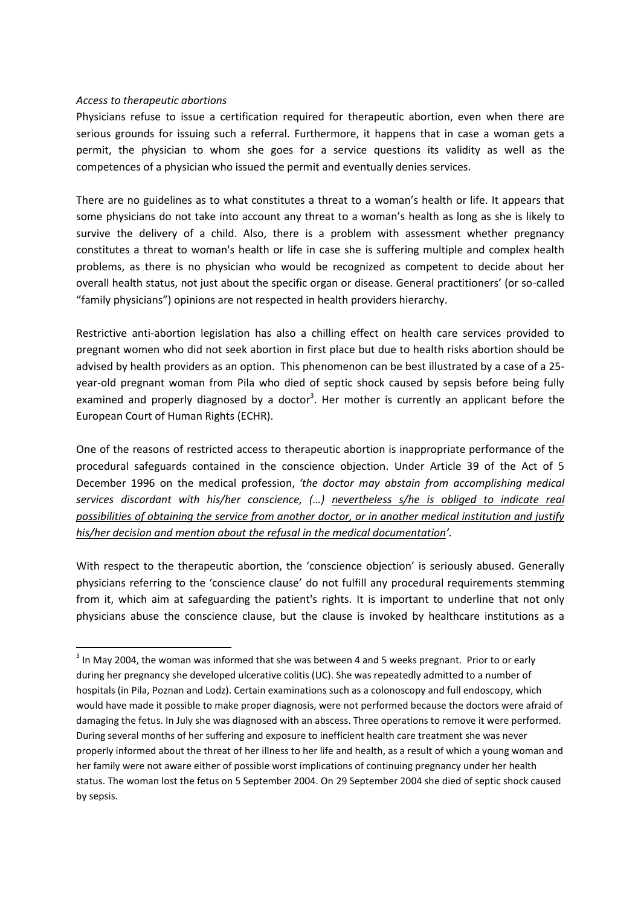#### *Access to therapeutic abortions*

**.** 

Physicians refuse to issue a certification required for therapeutic abortion, even when there are serious grounds for issuing such a referral. Furthermore, it happens that in case a woman gets a permit, the physician to whom she goes for a service questions its validity as well as the competences of a physician who issued the permit and eventually denies services.

There are no guidelines as to what constitutes a threat to a woman's health or life. It appears that some physicians do not take into account any threat to a woman's health as long as she is likely to survive the delivery of a child. Also, there is a problem with assessment whether pregnancy constitutes a threat to woman's health or life in case she is suffering multiple and complex health problems, as there is no physician who would be recognized as competent to decide about her overall health status, not just about the specific organ or disease. General practitioners' (or so-called "family physicians") opinions are not respected in health providers hierarchy.

Restrictive anti-abortion legislation has also a chilling effect on health care services provided to pregnant women who did not seek abortion in first place but due to health risks abortion should be advised by health providers as an option. This phenomenon can be best illustrated by a case of a 25 year-old pregnant woman from Pila who died of septic shock caused by sepsis before being fully examined and properly diagnosed by a doctor<sup>3</sup>. Her mother is currently an applicant before the European Court of Human Rights (ECHR).

One of the reasons of restricted access to therapeutic abortion is inappropriate performance of the procedural safeguards contained in the conscience objection. Under Article 39 of the Act of 5 December 1996 on the medical profession, *'the doctor may abstain from accomplishing medical services discordant with his/her conscience, (…) nevertheless s/he is obliged to indicate real possibilities of obtaining the service from another doctor, or in another medical institution and justify his/her decision and mention about the refusal in the medical documentation'.* 

With respect to the therapeutic abortion, the 'conscience objection' is seriously abused. Generally physicians referring to the 'conscience clause' do not fulfill any procedural requirements stemming from it, which aim at safeguarding the patient's rights. It is important to underline that not only physicians abuse the conscience clause, but the clause is invoked by healthcare institutions as a

 $3$  In May 2004, the woman was informed that she was between 4 and 5 weeks pregnant. Prior to or early during her pregnancy she developed ulcerative colitis (UC). She was repeatedly admitted to a number of hospitals (in Pila, Poznan and Lodz). Certain examinations such as a colonoscopy and full endoscopy, which would have made it possible to make proper diagnosis, were not performed because the doctors were afraid of damaging the fetus. In July she was diagnosed with an abscess. Three operations to remove it were performed. During several months of her suffering and exposure to inefficient health care treatment she was never properly informed about the threat of her illness to her life and health, as a result of which a young woman and her family were not aware either of possible worst implications of continuing pregnancy under her health status. The woman lost the fetus on 5 September 2004. On 29 September 2004 she died of septic shock caused by sepsis.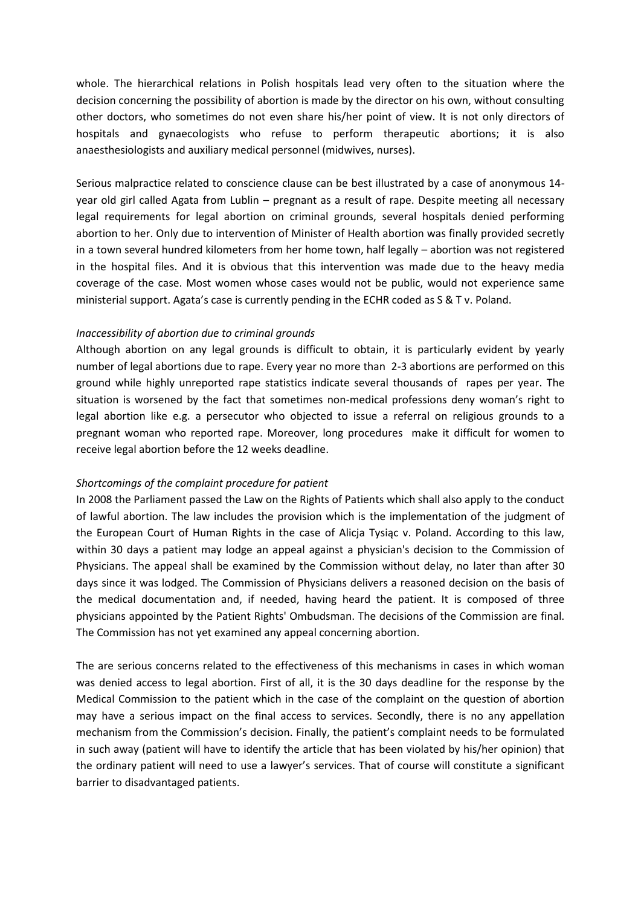whole. The hierarchical relations in Polish hospitals lead very often to the situation where the decision concerning the possibility of abortion is made by the director on his own, without consulting other doctors, who sometimes do not even share his/her point of view. It is not only directors of hospitals and gynaecologists who refuse to perform therapeutic abortions; it is also anaesthesiologists and auxiliary medical personnel (midwives, nurses).

Serious malpractice related to conscience clause can be best illustrated by a case of anonymous 14 year old girl called Agata from Lublin – pregnant as a result of rape. Despite meeting all necessary legal requirements for legal abortion on criminal grounds, several hospitals denied performing abortion to her. Only due to intervention of Minister of Health abortion was finally provided secretly in a town several hundred kilometers from her home town, half legally – abortion was not registered in the hospital files. And it is obvious that this intervention was made due to the heavy media coverage of the case. Most women whose cases would not be public, would not experience same ministerial support. Agata's case is currently pending in the ECHR coded as S & T v. Poland.

#### *Inaccessibility of abortion due to criminal grounds*

Although abortion on any legal grounds is difficult to obtain, it is particularly evident by yearly number of legal abortions due to rape. Every year no more than 2-3 abortions are performed on this ground while highly unreported rape statistics indicate several thousands of rapes per year. The situation is worsened by the fact that sometimes non-medical professions deny woman's right to legal abortion like e.g. a persecutor who objected to issue a referral on religious grounds to a pregnant woman who reported rape. Moreover, long procedures make it difficult for women to receive legal abortion before the 12 weeks deadline.

# *Shortcomings of the complaint procedure for patient*

In 2008 the Parliament passed the Law on the Rights of Patients which shall also apply to the conduct of lawful abortion. The law includes the provision which is the implementation of the judgment of the European Court of Human Rights in the case of Alicja Tysiąc v. Poland. According to this law, within 30 days a patient may lodge an appeal against a physician's decision to the Commission of Physicians. The appeal shall be examined by the Commission without delay, no later than after 30 days since it was lodged. The Commission of Physicians delivers a reasoned decision on the basis of the medical documentation and, if needed, having heard the patient. It is composed of three physicians appointed by the Patient Rights' Ombudsman. The decisions of the Commission are final. The Commission has not yet examined any appeal concerning abortion.

The are serious concerns related to the effectiveness of this mechanisms in cases in which woman was denied access to legal abortion. First of all, it is the 30 days deadline for the response by the Medical Commission to the patient which in the case of the complaint on the question of abortion may have a serious impact on the final access to services. Secondly, there is no any appellation mechanism from the Commission's decision. Finally, the patient's complaint needs to be formulated in such away (patient will have to identify the article that has been violated by his/her opinion) that the ordinary patient will need to use a lawyer's services. That of course will constitute a significant barrier to disadvantaged patients.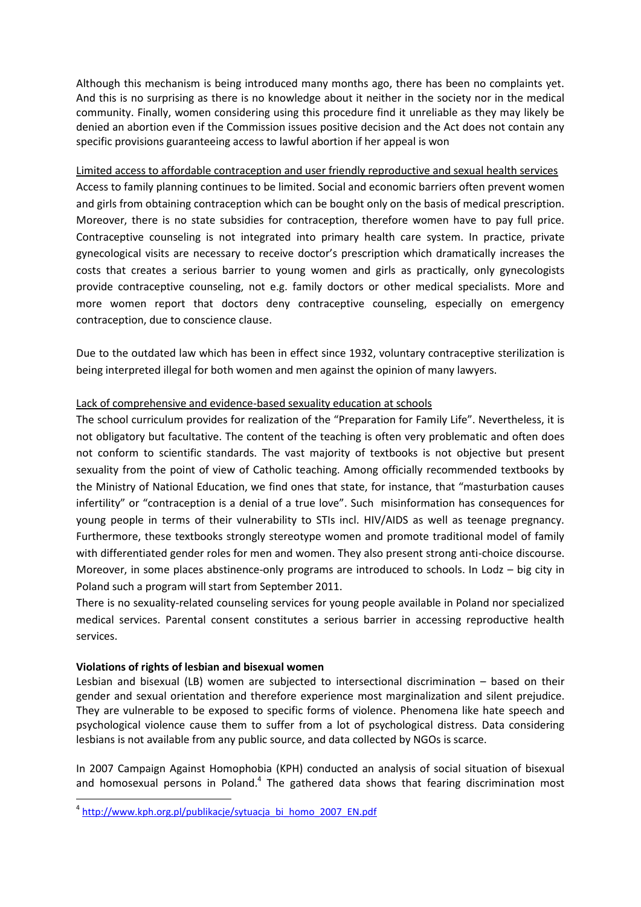Although this mechanism is being introduced many months ago, there has been no complaints yet. And this is no surprising as there is no knowledge about it neither in the society nor in the medical community. Finally, women considering using this procedure find it unreliable as they may likely be denied an abortion even if the Commission issues positive decision and the Act does not contain any specific provisions guaranteeing access to lawful abortion if her appeal is won

Limited access to affordable contraception and user friendly reproductive and sexual health services Access to family planning continues to be limited. Social and economic barriers often prevent women and girls from obtaining contraception which can be bought only on the basis of medical prescription. Moreover, there is no state subsidies for contraception, therefore women have to pay full price. Contraceptive counseling is not integrated into primary health care system. In practice, private gynecological visits are necessary to receive doctor's prescription which dramatically increases the costs that creates a serious barrier to young women and girls as practically, only gynecologists provide contraceptive counseling, not e.g. family doctors or other medical specialists. More and more women report that doctors deny contraceptive counseling, especially on emergency contraception, due to conscience clause.

Due to the outdated law which has been in effect since 1932, voluntary contraceptive sterilization is being interpreted illegal for both women and men against the opinion of many lawyers.

# Lack of comprehensive and evidence-based sexuality education at schools

The school curriculum provides for realization of the "Preparation for Family Life". Nevertheless, it is not obligatory but facultative. The content of the teaching is often very problematic and often does not conform to scientific standards. The vast majority of textbooks is not objective but present sexuality from the point of view of Catholic teaching. Among officially recommended textbooks by the Ministry of National Education, we find ones that state, for instance, that "masturbation causes infertility" or "contraception is a denial of a true love". Such misinformation has consequences for young people in terms of their vulnerability to STIs incl. HIV/AIDS as well as teenage pregnancy. Furthermore, these textbooks strongly stereotype women and promote traditional model of family with differentiated gender roles for men and women. They also present strong anti-choice discourse. Moreover, in some places abstinence-only programs are introduced to schools. In Lodz – big city in Poland such a program will start from September 2011.

There is no sexuality-related counseling services for young people available in Poland nor specialized medical services. Parental consent constitutes a serious barrier in accessing reproductive health services.

#### **Violations of rights of lesbian and bisexual women**

1

Lesbian and bisexual (LB) women are subjected to intersectional discrimination – based on their gender and sexual orientation and therefore experience most marginalization and silent prejudice. They are vulnerable to be exposed to specific forms of violence. Phenomena like hate speech and psychological violence cause them to suffer from a lot of psychological distress. Data considering lesbians is not available from any public source, and data collected by NGOs is scarce.

In 2007 Campaign Against Homophobia (KPH) conducted an analysis of social situation of bisexual and homosexual persons in Poland. $4$  The gathered data shows that fearing discrimination most

<sup>&</sup>lt;sup>4</sup> [http://www.kph.org.pl/publikacje/sytuacja\\_bi\\_homo\\_2007\\_EN.pdf](http://www.kph.org.pl/publikacje/sytuacja_bi_homo_2007_EN.pdf)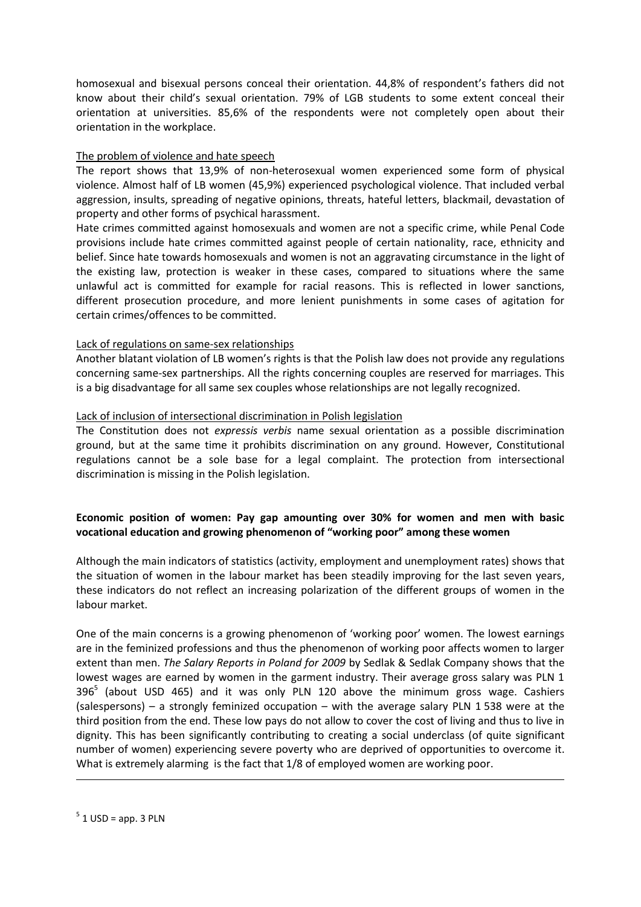homosexual and bisexual persons conceal their orientation. 44,8% of respondent's fathers did not know about their child's sexual orientation. 79% of LGB students to some extent conceal their orientation at universities. 85,6% of the respondents were not completely open about their orientation in the workplace.

# The problem of violence and hate speech

The report shows that 13,9% of non-heterosexual women experienced some form of physical violence. Almost half of LB women (45,9%) experienced psychological violence. That included verbal aggression, insults, spreading of negative opinions, threats, hateful letters, blackmail, devastation of property and other forms of psychical harassment.

Hate crimes committed against homosexuals and women are not a specific crime, while Penal Code provisions include hate crimes committed against people of certain nationality, race, ethnicity and belief. Since hate towards homosexuals and women is not an aggravating circumstance in the light of the existing law, protection is weaker in these cases, compared to situations where the same unlawful act is committed for example for racial reasons. This is reflected in lower sanctions, different prosecution procedure, and more lenient punishments in some cases of agitation for certain crimes/offences to be committed.

# Lack of regulations on same-sex relationships

Another blatant violation of LB women's rights is that the Polish law does not provide any regulations concerning same-sex partnerships. All the rights concerning couples are reserved for marriages. This is a big disadvantage for all same sex couples whose relationships are not legally recognized.

# Lack of inclusion of intersectional discrimination in Polish legislation

The Constitution does not *expressis verbis* name sexual orientation as a possible discrimination ground, but at the same time it prohibits discrimination on any ground. However, Constitutional regulations cannot be a sole base for a legal complaint. The protection from intersectional discrimination is missing in the Polish legislation.

# **Economic position of women: Pay gap amounting over 30% for women and men with basic vocational education and growing phenomenon of "working poor" among these women**

Although the main indicators of statistics (activity, employment and unemployment rates) shows that the situation of women in the labour market has been steadily improving for the last seven years, these indicators do not reflect an increasing polarization of the different groups of women in the labour market.

One of the main concerns is a growing phenomenon of 'working poor' women. The lowest earnings are in the feminized professions and thus the phenomenon of working poor affects women to larger extent than men. *The Salary Reports in Poland for 2009* by Sedlak & Sedlak Company shows that the lowest wages are earned by women in the garment industry. Their average gross salary was PLN 1 396 $<sup>5</sup>$  (about USD 465) and it was only PLN 120 above the minimum gross wage. Cashiers</sup> (salespersons) – a strongly feminized occupation – with the average salary PLN 1 538 were at the third position from the end. These low pays do not allow to cover the cost of living and thus to live in dignity. This has been significantly contributing to creating a social underclass (of quite significant number of women) experiencing severe poverty who are deprived of opportunities to overcome it. What is extremely alarming is the fact that 1/8 of employed women are working poor.

 $\overline{a}$ 

 $5$  1 USD = app. 3 PLN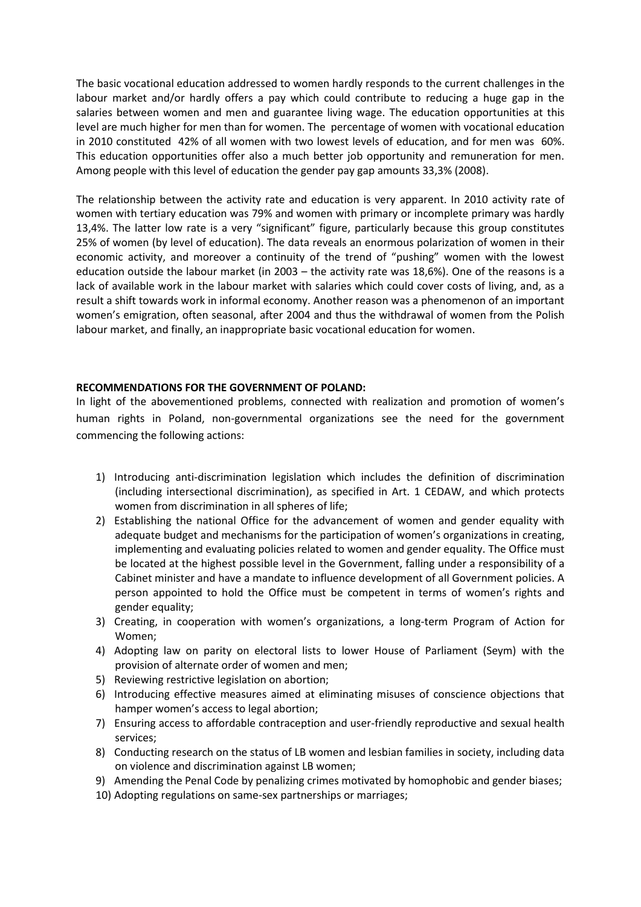The basic vocational education addressed to women hardly responds to the current challenges in the labour market and/or hardly offers a pay which could contribute to reducing a huge gap in the salaries between women and men and guarantee living wage. The education opportunities at this level are much higher for men than for women. The percentage of women with vocational education in 2010 constituted 42% of all women with two lowest levels of education, and for men was 60%. This education opportunities offer also a much better job opportunity and remuneration for men. Among people with this level of education the gender pay gap amounts 33,3% (2008).

The relationship between the activity rate and education is very apparent. In 2010 activity rate of women with tertiary education was 79% and women with primary or incomplete primary was hardly 13,4%. The latter low rate is a very "significant" figure, particularly because this group constitutes 25% of women (by level of education). The data reveals an enormous polarization of women in their economic activity, and moreover a continuity of the trend of "pushing" women with the lowest education outside the labour market (in 2003 – the activity rate was 18,6%). One of the reasons is a lack of available work in the labour market with salaries which could cover costs of living, and, as a result a shift towards work in informal economy. Another reason was a phenomenon of an important women's emigration, often seasonal, after 2004 and thus the withdrawal of women from the Polish labour market, and finally, an inappropriate basic vocational education for women.

# **RECOMMENDATIONS FOR THE GOVERNMENT OF POLAND:**

In light of the abovementioned problems, connected with realization and promotion of women's human rights in Poland, non-governmental organizations see the need for the government commencing the following actions:

- 1) Introducing anti-discrimination legislation which includes the definition of discrimination (including intersectional discrimination), as specified in Art. 1 CEDAW, and which protects women from discrimination in all spheres of life;
- 2) Establishing the national Office for the advancement of women and gender equality with adequate budget and mechanisms for the participation of women's organizations in creating, implementing and evaluating policies related to women and gender equality. The Office must be located at the highest possible level in the Government, falling under a responsibility of a Cabinet minister and have a mandate to influence development of all Government policies. A person appointed to hold the Office must be competent in terms of women's rights and gender equality;
- 3) Creating, in cooperation with women's organizations, a long-term Program of Action for Women;
- 4) Adopting law on parity on electoral lists to lower House of Parliament (Seym) with the provision of alternate order of women and men;
- 5) Reviewing restrictive legislation on abortion;
- 6) Introducing effective measures aimed at eliminating misuses of conscience objections that hamper women's access to legal abortion;
- 7) Ensuring access to affordable contraception and user-friendly reproductive and sexual health services;
- 8) Conducting research on the status of LB women and lesbian families in society, including data on violence and discrimination against LB women;
- 9) Amending the Penal Code by penalizing crimes motivated by homophobic and gender biases;
- 10) Adopting regulations on same-sex partnerships or marriages;